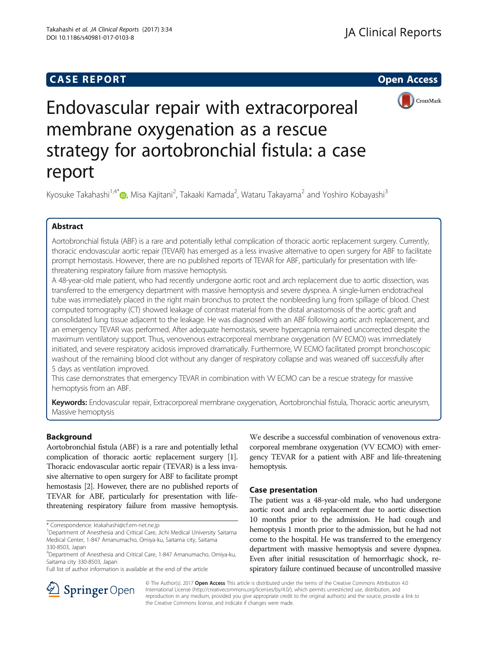## **CASE REPORT And SERVICE SERVICE SERVICE SERVICE SERVICE SERVICE SERVICE SERVICE SERVICE SERVICE SERVICE SERVICE**



# Endovascular repair with extracorporeal membrane oxygenation as a rescue strategy for aortobronchial fistula: a case report

Kyosuke Takahashi<sup>1[,](http://orcid.org/0000-0003-2246-4650)4\*</sup>®, Misa Kajitani<sup>2</sup>, Takaaki Kamada<sup>2</sup>, Wataru Takayama<sup>2</sup> and Yoshiro Kobayashi<sup>3</sup>

## Abstract

Aortobronchial fistula (ABF) is a rare and potentially lethal complication of thoracic aortic replacement surgery. Currently, thoracic endovascular aortic repair (TEVAR) has emerged as a less invasive alternative to open surgery for ABF to facilitate prompt hemostasis. However, there are no published reports of TEVAR for ABF, particularly for presentation with lifethreatening respiratory failure from massive hemoptysis.

A 48-year-old male patient, who had recently undergone aortic root and arch replacement due to aortic dissection, was transferred to the emergency department with massive hemoptysis and severe dyspnea. A single-lumen endotracheal tube was immediately placed in the right main bronchus to protect the nonbleeding lung from spillage of blood. Chest computed tomography (CT) showed leakage of contrast material from the distal anastomosis of the aortic graft and consolidated lung tissue adjacent to the leakage. He was diagnosed with an ABF following aortic arch replacement, and an emergency TEVAR was performed. After adequate hemostasis, severe hypercapnia remained uncorrected despite the maximum ventilatory support. Thus, venovenous extracorporeal membrane oxygenation (W ECMO) was immediately initiated, and severe respiratory acidosis improved dramatically. Furthermore, VV ECMO facilitated prompt bronchoscopic washout of the remaining blood clot without any danger of respiratory collapse and was weaned off successfully after 5 days as ventilation improved.

This case demonstrates that emergency TEVAR in combination with VV ECMO can be a rescue strategy for massive hemoptysis from an ABF.

Keywords: Endovascular repair, Extracorporeal membrane oxygenation, Aortobronchial fistula, Thoracic aortic aneurysm, Massive hemoptysis

## Background

Aortobronchial fistula (ABF) is a rare and potentially lethal complication of thoracic aortic replacement surgery [[1](#page-3-0)]. Thoracic endovascular aortic repair (TEVAR) is a less invasive alternative to open surgery for ABF to facilitate prompt hemostasis [[2](#page-3-0)]. However, there are no published reports of TEVAR for ABF, particularly for presentation with lifethreatening respiratory failure from massive hemoptysis.

Full list of author information is available at the end of the article

We describe a successful combination of venovenous extracorporeal membrane oxygenation (VV ECMO) with emergency TEVAR for a patient with ABF and life-threatening hemoptysis.

## Case presentation

The patient was a 48-year-old male, who had undergone aortic root and arch replacement due to aortic dissection 10 months prior to the admission. He had cough and hemoptysis 1 month prior to the admission, but he had not come to the hospital. He was transferred to the emergency department with massive hemoptysis and severe dyspnea. Even after initial resuscitation of hemorrhagic shock, respiratory failure continued because of uncontrolled massive



© The Author(s). 2017 Open Access This article is distributed under the terms of the Creative Commons Attribution 4.0 International License ([http://creativecommons.org/licenses/by/4.0/\)](http://creativecommons.org/licenses/by/4.0/), which permits unrestricted use, distribution, and reproduction in any medium, provided you give appropriate credit to the original author(s) and the source, provide a link to the Creative Commons license, and indicate if changes were made.

<sup>\*</sup> Correspondence: [ktakahashi@cf.em-net.ne.jp](mailto:ktakahashi@cf.em-net.ne.jp) <sup>1</sup>

<sup>&</sup>lt;sup>1</sup>Department of Anesthesia and Critical Care, Jichi Medical University Saitama Medical Center, 1-847 Amanumacho, Omiya-ku, Saitama city, Saitama 330-8503, Japan

<sup>4</sup> Department of Anesthesia and Critical Care, 1-847 Amanumacho, Omiya-ku, Saitama city 330-8503, Japan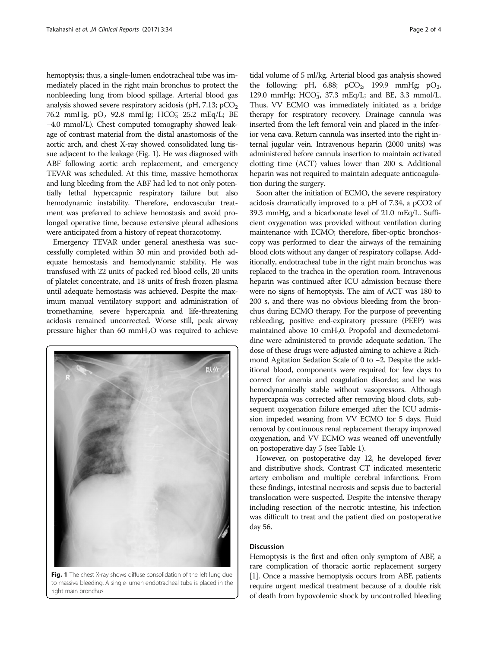hemoptysis; thus, a single-lumen endotracheal tube was immediately placed in the right main bronchus to protect the nonbleeding lung from blood spillage. Arterial blood gas analysis showed severe respiratory acidosis (pH,  $7.13$ ;  $pCO<sub>2</sub>$ ) 76.2 mmHg,  $pO_2$  92.8 mmHg;  $HCO_3^-$  25.2 mEq/L; BE −4.0 mmol/L). Chest computed tomography showed leakage of contrast material from the distal anastomosis of the aortic arch, and chest X-ray showed consolidated lung tissue adjacent to the leakage (Fig. 1). He was diagnosed with ABF following aortic arch replacement, and emergency TEVAR was scheduled. At this time, massive hemothorax and lung bleeding from the ABF had led to not only potentially lethal hypercapnic respiratory failure but also hemodynamic instability. Therefore, endovascular treatment was preferred to achieve hemostasis and avoid prolonged operative time, because extensive pleural adhesions were anticipated from a history of repeat thoracotomy.

Emergency TEVAR under general anesthesia was successfully completed within 30 min and provided both adequate hemostasis and hemodynamic stability. He was transfused with 22 units of packed red blood cells, 20 units of platelet concentrate, and 18 units of fresh frozen plasma until adequate hemostasis was achieved. Despite the maximum manual ventilatory support and administration of tromethamine, severe hypercapnia and life-threatening acidosis remained uncorrected. Worse still, peak airway pressure higher than 60 mmH2O was required to achieve



Fig. 1 The chest X-ray shows diffuse consolidation of the left lung due to massive bleeding. A single-lumen endotracheal tube is placed in the right main bronchus

tidal volume of 5 ml/kg. Arterial blood gas analysis showed the following: pH, 6.88; pCO<sub>2</sub>, 199.9 mmHg; pO<sub>2</sub>, 129.0 mmHg; HCO<sub>3</sub>, 37.3 mEq/L; and BE, 3.3 mmol/L. Thus, VV ECMO was immediately initiated as a bridge therapy for respiratory recovery. Drainage cannula was inserted from the left femoral vein and placed in the inferior vena cava. Return cannula was inserted into the right internal jugular vein. Intravenous heparin (2000 units) was administered before cannula insertion to maintain activated clotting time (ACT) values lower than 200 s. Additional heparin was not required to maintain adequate anticoagulation during the surgery.

Soon after the initiation of ECMO, the severe respiratory acidosis dramatically improved to a pH of 7.34, a pCO2 of 39.3 mmHg, and a bicarbonate level of 21.0 mEq/L. Sufficient oxygenation was provided without ventilation during maintenance with ECMO; therefore, fiber-optic bronchoscopy was performed to clear the airways of the remaining blood clots without any danger of respiratory collapse. Additionally, endotracheal tube in the right main bronchus was replaced to the trachea in the operation room. Intravenous heparin was continued after ICU admission because there were no signs of hemoptysis. The aim of ACT was 180 to 200 s, and there was no obvious bleeding from the bronchus during ECMO therapy. For the purpose of preventing rebleeding, positive end-expiratory pressure (PEEP) was maintained above 10 cmH<sub>2</sub>0. Propofol and dexmedetomidine were administered to provide adequate sedation. The dose of these drugs were adjusted aiming to achieve a Richmond Agitation Sedation Scale of 0 to −2. Despite the additional blood, components were required for few days to correct for anemia and coagulation disorder, and he was hemodynamically stable without vasopressors. Although hypercapnia was corrected after removing blood clots, subsequent oxygenation failure emerged after the ICU admission impeded weaning from VV ECMO for 5 days. Fluid removal by continuous renal replacement therapy improved oxygenation, and VV ECMO was weaned off uneventfully on postoperative day 5 (see Table [1](#page-2-0)).

However, on postoperative day 12, he developed fever and distributive shock. Contrast CT indicated mesenteric artery embolism and multiple cerebral infarctions. From these findings, intestinal necrosis and sepsis due to bacterial translocation were suspected. Despite the intensive therapy including resection of the necrotic intestine, his infection was difficult to treat and the patient died on postoperative day 56.

## Discussion

Hemoptysis is the first and often only symptom of ABF, a rare complication of thoracic aortic replacement surgery [[1](#page-3-0)]. Once a massive hemoptysis occurs from ABF, patients require urgent medical treatment because of a double risk of death from hypovolemic shock by uncontrolled bleeding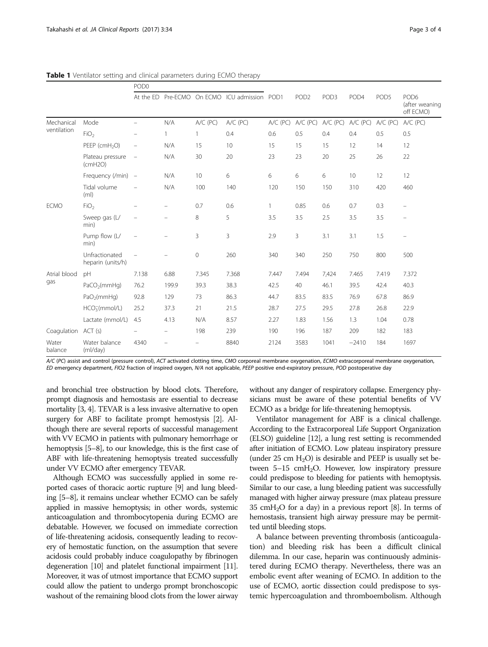|                           |                                     | POD <sub>0</sub>         |                          |            |                            |              |                  |                  |            |          |                                                 |
|---------------------------|-------------------------------------|--------------------------|--------------------------|------------|----------------------------|--------------|------------------|------------------|------------|----------|-------------------------------------------------|
|                           |                                     | At the ED                | Pre-ECMO                 |            | On ECMO ICU admission POD1 |              | POD <sub>2</sub> | POD <sub>3</sub> | POD4       | POD5     | POD <sub>6</sub><br>(after weaning<br>off ECMO) |
| Mechanical<br>ventilation | Mode                                |                          | N/A                      | $A/C$ (PC) | A/C (PC)                   | $A/C$ (PC)   | A/C (PC)         | $A/C$ (PC)       | $A/C$ (PC) | A/C (PC) | $A/C$ (PC)                                      |
|                           | FiO <sub>2</sub>                    |                          |                          | 1          | 0.4                        | 0.6          | 0.5              | 0.4              | 0.4        | 0.5      | 0.5                                             |
|                           | PEEP (cmH <sub>2</sub> O)           | $\overline{\phantom{m}}$ | N/A                      | 15         | 10                         | 15           | 15               | 15               | 12         | 14       | 12                                              |
|                           | Plateau pressure<br>(cmH2O)         | $\overline{\phantom{a}}$ | N/A                      | 30         | 20                         | 23           | 23               | 20               | 25         | 26       | 22                                              |
|                           | Frequency (/min) -                  |                          | N/A                      | 10         | 6                          | 6            | 6                | 6                | 10         | 12       | 12                                              |
|                           | Tidal volume<br>(m <sub>l</sub> )   | $\overline{\phantom{0}}$ | N/A                      | 100        | 140                        | 120          | 150              | 150              | 310        | 420      | 460                                             |
| <b>ECMO</b>               | FiO <sub>2</sub>                    |                          |                          | 0.7        | 0.6                        | $\mathbf{1}$ | 0.85             | 0.6              | 0.7        | 0.3      |                                                 |
|                           | Sweep gas (L/<br>min)               |                          |                          | 8          | 5                          | 3.5          | 3.5              | 2.5              | 3.5        | 3.5      | $\overline{\phantom{0}}$                        |
|                           | Pump flow (L/<br>min)               | $\overline{\phantom{m}}$ |                          | 3          | 3                          | 2.9          | 3                | 3.1              | 3.1        | 1.5      | $\overline{\phantom{0}}$                        |
|                           | Unfractionated<br>heparin (units/h) | $\overline{\phantom{0}}$ |                          | 0          | 260                        | 340          | 340              | 250              | 750        | 800      | 500                                             |
| Atrial blood<br>gas       | pH                                  | 7.138                    | 6.88                     | 7.345      | 7.368                      | 7.447        | 7.494            | 7,424            | 7.465      | 7.419    | 7.372                                           |
|                           | PaCO <sub>2</sub> (mmHq)            | 76.2                     | 199.9                    | 39.3       | 38.3                       | 42.5         | 40               | 46.1             | 39.5       | 42.4     | 40.3                                            |
|                           | PaO <sub>2</sub> (mmHq)             | 92.8                     | 129                      | 73         | 86.3                       | 44.7         | 83.5             | 83.5             | 76.9       | 67.8     | 86.9                                            |
|                           | HCO <sub>3</sub> (mmol/L)           | 25.2                     | 37.3                     | 21         | 21.5                       | 28.7         | 27.5             | 29.5             | 27.8       | 26.8     | 22.9                                            |
|                           | Lactate (mmol/L)                    | 4.5                      | 4.13                     | N/A        | 8.57                       | 2.27         | 1.83             | 1.56             | 1.3        | 1.04     | 0.78                                            |
| Coagulation               | ACT(s)                              |                          | $\overline{\phantom{m}}$ | 198        | 239                        | 190          | 196              | 187              | 209        | 182      | 183                                             |
| Water<br>balance          | Water balance<br>(mI/day)           | 4340                     |                          |            | 8840                       | 2124         | 3583             | 1041             | $-2410$    | 184      | 1697                                            |

<span id="page-2-0"></span>Table 1 Ventilator setting and clinical parameters during ECMO therapy

A/C (PC) assist and control (pressure control), ACT activated clotting time, CMO corporeal membrane oxygenation, ECMO extracorporeal membrane oxygenation, ED emergency department, FIO2 fraction of inspired oxygen, N/A not applicable, PEEP positive end-expiratory pressure, POD postoperative day

and bronchial tree obstruction by blood clots. Therefore, prompt diagnosis and hemostasis are essential to decrease mortality [\[3, 4\]](#page-3-0). TEVAR is a less invasive alternative to open surgery for ABF to facilitate prompt hemostysis [\[2](#page-3-0)]. Although there are several reports of successful management with VV ECMO in patients with pulmonary hemorrhage or hemoptysis [[5](#page-3-0)–[8\]](#page-3-0), to our knowledge, this is the first case of ABF with life-threatening hemoptysis treated successfully under VV ECMO after emergency TEVAR.

Although ECMO was successfully applied in some reported cases of thoracic aortic rupture [[9](#page-3-0)] and lung bleeding [\[5](#page-3-0)–[8](#page-3-0)], it remains unclear whether ECMO can be safely applied in massive hemoptysis; in other words, systemic anticoagulation and thrombocytopenia during ECMO are debatable. However, we focused on immediate correction of life-threatening acidosis, consequently leading to recovery of hemostatic function, on the assumption that severe acidosis could probably induce coagulopathy by fibrinogen degeneration [\[10](#page-3-0)] and platelet functional impairment [[11](#page-3-0)]. Moreover, it was of utmost importance that ECMO support could allow the patient to undergo prompt bronchoscopic washout of the remaining blood clots from the lower airway

without any danger of respiratory collapse. Emergency physicians must be aware of these potential benefits of VV ECMO as a bridge for life-threatening hemoptysis.

Ventilator management for ABF is a clinical challenge. According to the Extracorporeal Life Support Organization (ELSO) guideline [\[12](#page-3-0)], a lung rest setting is recommended after initiation of ECMO. Low plateau inspiratory pressure (under 25 cm  $H_2O$ ) is desirable and PEEP is usually set between  $5-15$  cmH<sub>2</sub>O. However, low inspiratory pressure could predispose to bleeding for patients with hemoptysis. Similar to our case, a lung bleeding patient was successfully managed with higher airway pressure (max plateau pressure 35 cm $H_2O$  for a day) in a previous report [\[8\]](#page-3-0). In terms of hemostasis, transient high airway pressure may be permitted until bleeding stops.

A balance between preventing thrombosis (anticoagulation) and bleeding risk has been a difficult clinical dilemma. In our case, heparin was continuously administered during ECMO therapy. Nevertheless, there was an embolic event after weaning of ECMO. In addition to the use of ECMO, aortic dissection could predispose to systemic hypercoagulation and thromboembolism. Although